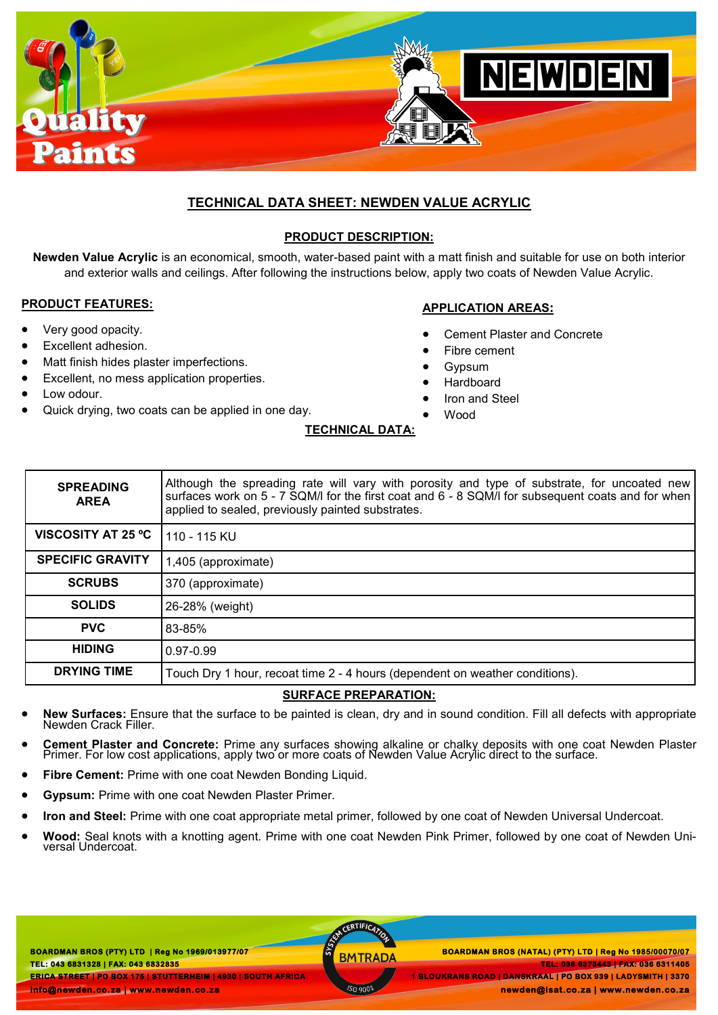

# **TECHNICAL DATA SHEET: NEWDEN VALUE ACRYLIC**

## **PRODUCT DESCRIPTION:**

**Newden Value Acrylic** is an economical, smooth, water-based paint with a matt finish and suitable for use on both interior and exterior walls and ceilings. After following the instructions below, apply two coats of Newden Value Acrylic.

#### **PRODUCT FEATURES:**

- Very good opacity.
- Excellent adhesion.
- Matt finish hides plaster imperfections.
- Excellent, no mess application properties.
- Low odour.
- Quick drying, two coats can be applied in one day.

#### **APPLICATION AREAS:**

- Cement Plaster and Concrete
- Fibre cement
- Gypsum
- Hardboard
- Iron and Steel
- Wood

| <b>SPREADING</b><br><b>AREA</b> | Although the spreading rate will vary with porosity and type of substrate, for uncoated new<br>surfaces work on 5 - 7 SQM/I for the first coat and 6 - 8 SQM/I for subsequent coats and for when<br>applied to sealed, previously painted substrates. |
|---------------------------------|-------------------------------------------------------------------------------------------------------------------------------------------------------------------------------------------------------------------------------------------------------|
| <b>VISCOSITY AT 25 °C</b>       | 110 - 115 KU                                                                                                                                                                                                                                          |
| <b>SPECIFIC GRAVITY</b>         | 1,405 (approximate)                                                                                                                                                                                                                                   |
| <b>SCRUBS</b>                   | 370 (approximate)                                                                                                                                                                                                                                     |
| <b>SOLIDS</b>                   | 26-28% (weight)                                                                                                                                                                                                                                       |
| <b>PVC</b>                      | 83-85%                                                                                                                                                                                                                                                |
| <b>HIDING</b>                   | $0.97 - 0.99$                                                                                                                                                                                                                                         |
| <b>DRYING TIME</b>              | Touch Dry 1 hour, recoat time 2 - 4 hours (dependent on weather conditions).                                                                                                                                                                          |

## **SURFACE PREPARATION:**

- **New Surfaces:** Ensure that the surface to be painted is clean, dry and in sound condition. Fill all defects with appropriate Newden Crack Filler.
- **Cement Plaster and Concrete:** Prime any surfaces showing alkaline or chalky deposits with one coat Newden Plaster Primer. For low cost applications, apply two or more coats of Newden Value Acrylic direct to the surface.
- **Fibre Cement:** Prime with one coat Newden Bonding Liquid.
- **Gypsum:** Prime with one coat Newden Plaster Primer.
- **Iron and Steel:** Prime with one coat appropriate metal primer, followed by one coat of Newden Universal Undercoat.
- **Wood:** Seal knots with a knotting agent. Prime with one coat Newden Pink Primer, followed by one coat of Newden Universal Undercoat.

**BOARDMAN BROS (PTY) LTD | Reg No 1969/013977/07 TEL: 043 6831328 | FAX: 043 6832835 ERICA STREET | PO BOX 175 | STUTTERHEIM | 4930 | SOUTH AFRICA**  ACERTIFICAT

 **BOARDMAN BROS (PTY) LTD | Reg No 1969/013977/07 BOARDMAN BROS (NATAL) (PTY) LTD | Reg No 1985/00070/07 TEL: 036 6373443 | FAX: 036 6311405 1 BLOUKRANS ROAD | DANSKRAAL | PO BOX 939 | LADYSMITH | 3370** 

 **newden@isat.co.za | www.newden.co.za** 

**TECHNICAL DATA:**

**info@newden.co.za | www.newden.co.za**